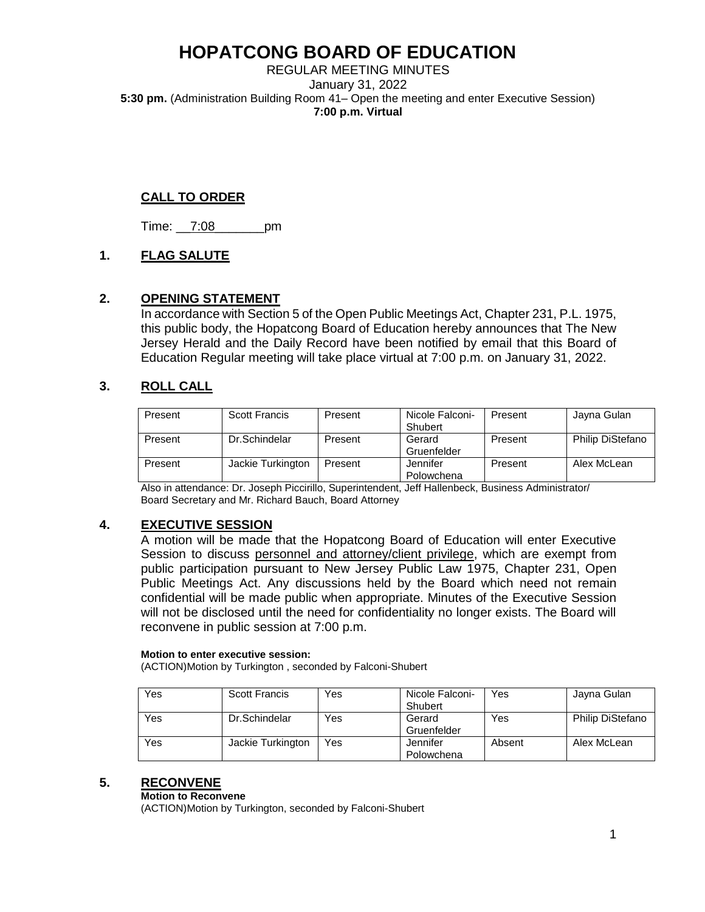REGULAR MEETING MINUTES January 31, 2022 **5:30 pm.** (Administration Building Room 41– Open the meeting and enter Executive Session) **7:00 p.m. Virtual** 

## **CALL TO ORDER**

Time: \_\_7:08\_\_\_\_\_\_\_pm

## **1. FLAG SALUTE**

## **2. OPENING STATEMENT**

In accordance with Section 5 of the Open Public Meetings Act, Chapter 231, P.L. 1975, this public body, the Hopatcong Board of Education hereby announces that The New Jersey Herald and the Daily Record have been notified by email that this Board of Education Regular meeting will take place virtual at 7:00 p.m. on January 31, 2022.

## **3. ROLL CALL**

| Present | <b>Scott Francis</b> | Present | Nicole Falconi- | Present | Jayna Gulan             |
|---------|----------------------|---------|-----------------|---------|-------------------------|
|         |                      |         | Shubert         |         |                         |
| Present | Dr.Schindelar        | Present | Gerard          | Present | <b>Philip DiStefano</b> |
|         |                      |         | Gruenfelder     |         |                         |
| Present | Jackie Turkington    | Present | Jennifer        | Present | Alex McLean             |
|         |                      |         | Polowchena      |         |                         |

Also in attendance: Dr. Joseph Piccirillo, Superintendent, Jeff Hallenbeck, Business Administrator/ Board Secretary and Mr. Richard Bauch, Board Attorney

## **4. EXECUTIVE SESSION**

A motion will be made that the Hopatcong Board of Education will enter Executive Session to discuss personnel and attorney/client privilege, which are exempt from public participation pursuant to New Jersey Public Law 1975, Chapter 231, Open Public Meetings Act. Any discussions held by the Board which need not remain confidential will be made public when appropriate. Minutes of the Executive Session will not be disclosed until the need for confidentiality no longer exists. The Board will reconvene in public session at 7:00 p.m.

#### **Motion to enter executive session:**

(ACTION)Motion by Turkington , seconded by Falconi-Shubert

| Yes | Scott Francis     | Yes | Nicole Falconi-<br>Shubert | Yes    | Jayna Gulan             |
|-----|-------------------|-----|----------------------------|--------|-------------------------|
| Yes | Dr.Schindelar     | Yes | Gerard<br>Gruenfelder      | Yes    | <b>Philip DiStefano</b> |
| Yes | Jackie Turkington | Yes | Jennifer<br>Polowchena     | Absent | Alex McLean             |

## **5. RECONVENE**

#### **Motion to Reconvene**

(ACTION)Motion by Turkington, seconded by Falconi-Shubert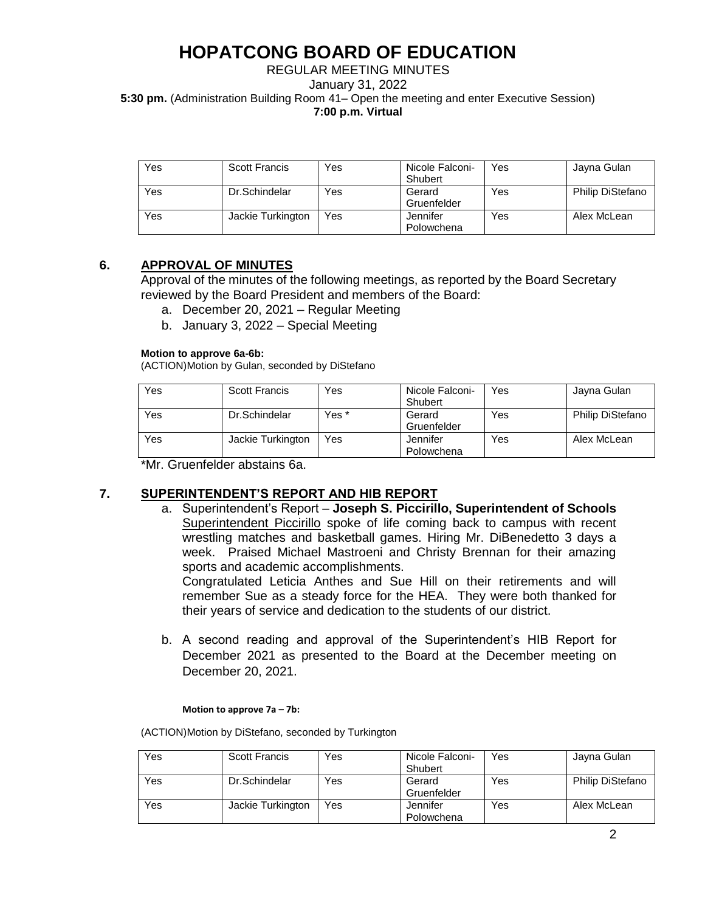REGULAR MEETING MINUTES January 31, 2022 **5:30 pm.** (Administration Building Room 41– Open the meeting and enter Executive Session) **7:00 p.m. Virtual** 

| Yes | <b>Scott Francis</b> | Yes | Nicole Falconi-<br>Shubert | Yes | Jayna Gulan      |
|-----|----------------------|-----|----------------------------|-----|------------------|
| Yes | Dr.Schindelar        | Yes | Gerard<br>Gruenfelder      | Yes | Philip DiStefano |
| Yes | Jackie Turkington    | Yes | Jennifer<br>Polowchena     | Yes | Alex McLean      |

## **6. APPROVAL OF MINUTES**

Approval of the minutes of the following meetings, as reported by the Board Secretary reviewed by the Board President and members of the Board:

- a. December 20, 2021 Regular Meeting
- b. January 3, 2022 Special Meeting

#### **Motion to approve 6a-6b:**

(ACTION)Motion by Gulan, seconded by DiStefano

| Yes | Scott Francis     | Yes   | Nicole Falconi-<br>Shubert | Yes | Jayna Gulan      |
|-----|-------------------|-------|----------------------------|-----|------------------|
| Yes | Dr.Schindelar     | Yes * | Gerard<br>Gruenfelder      | Yes | Philip DiStefano |
| Yes | Jackie Turkington | Yes   | Jennifer<br>Polowchena     | Yes | Alex McLean      |

\*Mr. Gruenfelder abstains 6a.

## **7. SUPERINTENDENT'S REPORT AND HIB REPORT**

a. Superintendent's Report – **Joseph S. Piccirillo, Superintendent of Schools** Superintendent Piccirillo spoke of life coming back to campus with recent wrestling matches and basketball games. Hiring Mr. DiBenedetto 3 days a week. Praised Michael Mastroeni and Christy Brennan for their amazing sports and academic accomplishments.

Congratulated Leticia Anthes and Sue Hill on their retirements and will remember Sue as a steady force for the HEA. They were both thanked for their years of service and dedication to the students of our district.

b. A second reading and approval of the Superintendent's HIB Report for December 2021 as presented to the Board at the December meeting on December 20, 2021.

#### **Motion to approve 7a – 7b:**

(ACTION)Motion by DiStefano, seconded by Turkington

| Yes | Scott Francis     | Yes | Nicole Falconi-<br>Shubert | Yes | Jayna Gulan             |
|-----|-------------------|-----|----------------------------|-----|-------------------------|
| Yes | Dr.Schindelar     | Yes | Gerard<br>Gruenfelder      | Yes | <b>Philip DiStefano</b> |
| Yes | Jackie Turkington | Yes | Jennifer<br>Polowchena     | Yes | Alex McLean             |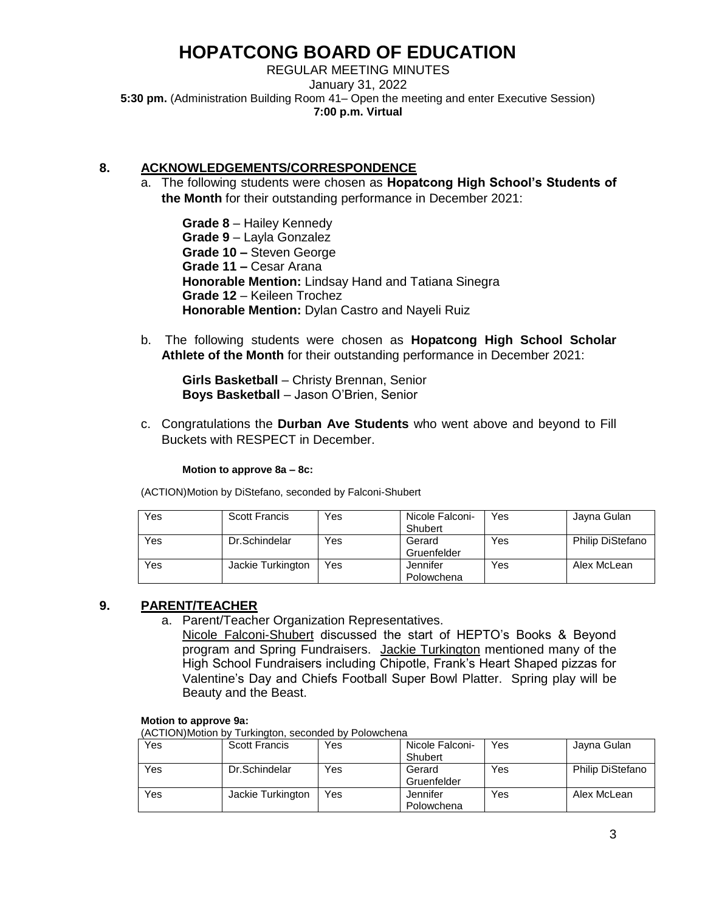REGULAR MEETING MINUTES January 31, 2022 **5:30 pm.** (Administration Building Room 41– Open the meeting and enter Executive Session) **7:00 p.m. Virtual** 

## **8. ACKNOWLEDGEMENTS/CORRESPONDENCE**

a. The following students were chosen as **Hopatcong High School's Students of the Month** for their outstanding performance in December 2021:

**Grade 8** – Hailey Kennedy **Grade 9** – Layla Gonzalez **Grade 10 –** Steven George **Grade 11 –** Cesar Arana **Honorable Mention:** Lindsay Hand and Tatiana Sinegra **Grade 12** – Keileen Trochez **Honorable Mention:** Dylan Castro and Nayeli Ruiz

b. The following students were chosen as **Hopatcong High School Scholar Athlete of the Month** for their outstanding performance in December 2021:

**Girls Basketball** – Christy Brennan, Senior **Boys Basketball** – Jason O'Brien, Senior

c. Congratulations the **Durban Ave Students** who went above and beyond to Fill Buckets with RESPECT in December.

#### **Motion to approve 8a – 8c:**

(ACTION)Motion by DiStefano, seconded by Falconi-Shubert

| Yes | <b>Scott Francis</b> | Yes | Nicole Falconi-<br>Shubert | Yes | Jayna Gulan             |
|-----|----------------------|-----|----------------------------|-----|-------------------------|
| Yes | Dr.Schindelar        | Yes | Gerard<br>Gruenfelder      | Yes | <b>Philip DiStefano</b> |
| Yes | Jackie Turkington    | Yes | Jennifer<br>Polowchena     | Yes | Alex McLean             |

### **9. PARENT/TEACHER**

a. Parent/Teacher Organization Representatives.

Nicole Falconi-Shubert discussed the start of HEPTO's Books & Beyond program and Spring Fundraisers. Jackie Turkington mentioned many of the High School Fundraisers including Chipotle, Frank's Heart Shaped pizzas for Valentine's Day and Chiefs Football Super Bowl Platter. Spring play will be Beauty and the Beast.

#### **Motion to approve 9a:**

(ACTION)Motion by Turkington, seconded by Polowchena

| Yes | <b>Scott Francis</b> | Yes | Nicole Falconi- | Yes | Jayna Gulan             |
|-----|----------------------|-----|-----------------|-----|-------------------------|
|     |                      |     | Shubert         |     |                         |
| Yes | Dr.Schindelar        | Yes | Gerard          | Yes | <b>Philip DiStefano</b> |
|     |                      |     | Gruenfelder     |     |                         |
| Yes | Jackie Turkington    | Yes | Jennifer        | Yes | Alex McLean             |
|     |                      |     | Polowchena      |     |                         |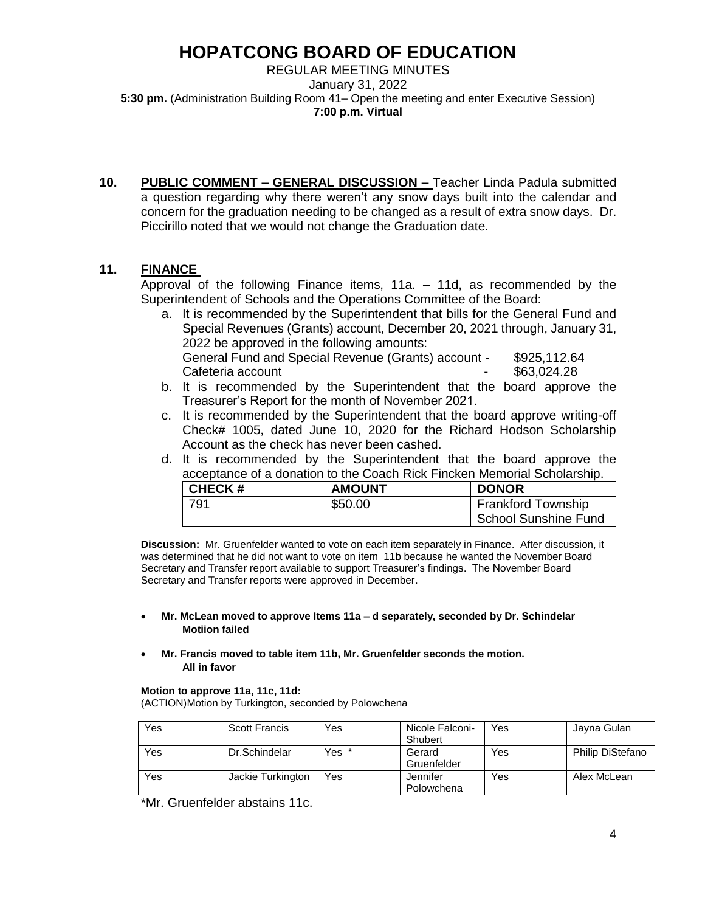REGULAR MEETING MINUTES January 31, 2022 **5:30 pm.** (Administration Building Room 41– Open the meeting and enter Executive Session) **7:00 p.m. Virtual** 

**10. PUBLIC COMMENT – GENERAL DISCUSSION –** Teacher Linda Padula submitted a question regarding why there weren't any snow days built into the calendar and concern for the graduation needing to be changed as a result of extra snow days. Dr. Piccirillo noted that we would not change the Graduation date.

### **11. FINANCE**

Approval of the following Finance items, 11a. – 11d, as recommended by the Superintendent of Schools and the Operations Committee of the Board:

a. It is recommended by the Superintendent that bills for the General Fund and Special Revenues (Grants) account, December 20, 2021 through, January 31, 2022 be approved in the following amounts: General Fund and Special Revenue (Grants) account - \$925,112.64

Cafeteria account Cafeteria account

- b. It is recommended by the Superintendent that the board approve the Treasurer's Report for the month of November 2021.
- c. It is recommended by the Superintendent that the board approve writing-off Check# 1005, dated June 10, 2020 for the Richard Hodson Scholarship Account as the check has never been cashed.
- d. It is recommended by the Superintendent that the board approve the acceptance of a donation to the Coach Rick Fincken Memorial Scholarship.

| <b>CHECK#</b> | <b>AMOUNT</b> | <b>DONOR</b>         |
|---------------|---------------|----------------------|
| 791           | \$50.00       | Frankford Township   |
|               |               | School Sunshine Fund |

**Discussion:** Mr. Gruenfelder wanted to vote on each item separately in Finance. After discussion, it was determined that he did not want to vote on item 11b because he wanted the November Board Secretary and Transfer report available to support Treasurer's findings. The November Board Secretary and Transfer reports were approved in December.

#### **Mr. McLean moved to approve Items 11a – d separately, seconded by Dr. Schindelar Motiion failed**

 **Mr. Francis moved to table item 11b, Mr. Gruenfelder seconds the motion. All in favor**

#### **Motion to approve 11a, 11c, 11d:**

(ACTION)Motion by Turkington, seconded by Polowchena

| Yes | Scott Francis     | Yes   | Nicole Falconi-<br>Shubert | Yes | Jayna Gulan             |
|-----|-------------------|-------|----------------------------|-----|-------------------------|
| Yes | Dr.Schindelar     | Yes * |                            | Yes | <b>Philip DiStefano</b> |
|     |                   |       | Gerard                     |     |                         |
|     |                   |       | Gruenfelder                |     |                         |
| Yes | Jackie Turkington | Yes   | Jennifer                   | Yes | Alex McLean             |
|     |                   |       | Polowchena                 |     |                         |

\*Mr. Gruenfelder abstains 11c.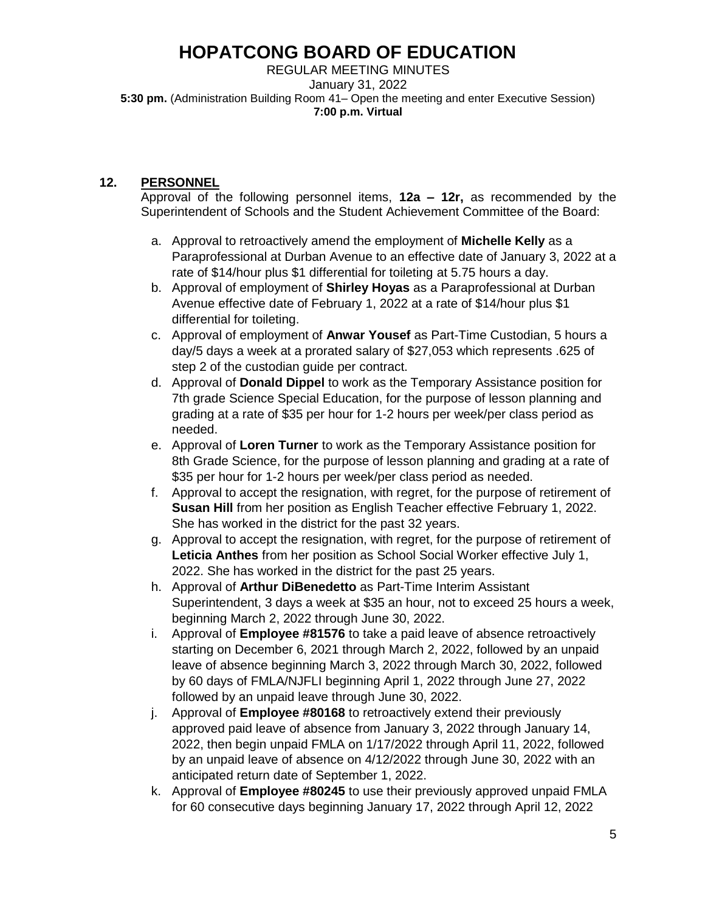REGULAR MEETING MINUTES January 31, 2022 **5:30 pm.** (Administration Building Room 41– Open the meeting and enter Executive Session) **7:00 p.m. Virtual** 

## **12. PERSONNEL**

Approval of the following personnel items, **12a – 12r,** as recommended by the Superintendent of Schools and the Student Achievement Committee of the Board:

- a. Approval to retroactively amend the employment of **Michelle Kelly** as a Paraprofessional at Durban Avenue to an effective date of January 3, 2022 at a rate of \$14/hour plus \$1 differential for toileting at 5.75 hours a day.
- b. Approval of employment of **Shirley Hoyas** as a Paraprofessional at Durban Avenue effective date of February 1, 2022 at a rate of \$14/hour plus \$1 differential for toileting.
- c. Approval of employment of **Anwar Yousef** as Part-Time Custodian, 5 hours a day/5 days a week at a prorated salary of \$27,053 which represents .625 of step 2 of the custodian guide per contract.
- d. Approval of **Donald Dippel** to work as the Temporary Assistance position for 7th grade Science Special Education, for the purpose of lesson planning and grading at a rate of \$35 per hour for 1-2 hours per week/per class period as needed.
- e. Approval of **Loren Turner** to work as the Temporary Assistance position for 8th Grade Science, for the purpose of lesson planning and grading at a rate of \$35 per hour for 1-2 hours per week/per class period as needed.
- f. Approval to accept the resignation, with regret, for the purpose of retirement of **Susan Hill** from her position as English Teacher effective February 1, 2022. She has worked in the district for the past 32 years.
- g. Approval to accept the resignation, with regret, for the purpose of retirement of **Leticia Anthes** from her position as School Social Worker effective July 1, 2022. She has worked in the district for the past 25 years.
- h. Approval of **Arthur DiBenedetto** as Part-Time Interim Assistant Superintendent, 3 days a week at \$35 an hour, not to exceed 25 hours a week, beginning March 2, 2022 through June 30, 2022.
- i. Approval of **Employee #81576** to take a paid leave of absence retroactively starting on December 6, 2021 through March 2, 2022, followed by an unpaid leave of absence beginning March 3, 2022 through March 30, 2022, followed by 60 days of FMLA/NJFLI beginning April 1, 2022 through June 27, 2022 followed by an unpaid leave through June 30, 2022.
- j. Approval of **Employee #80168** to retroactively extend their previously approved paid leave of absence from January 3, 2022 through January 14, 2022, then begin unpaid FMLA on 1/17/2022 through April 11, 2022, followed by an unpaid leave of absence on 4/12/2022 through June 30, 2022 with an anticipated return date of September 1, 2022.
- k. Approval of **Employee #80245** to use their previously approved unpaid FMLA for 60 consecutive days beginning January 17, 2022 through April 12, 2022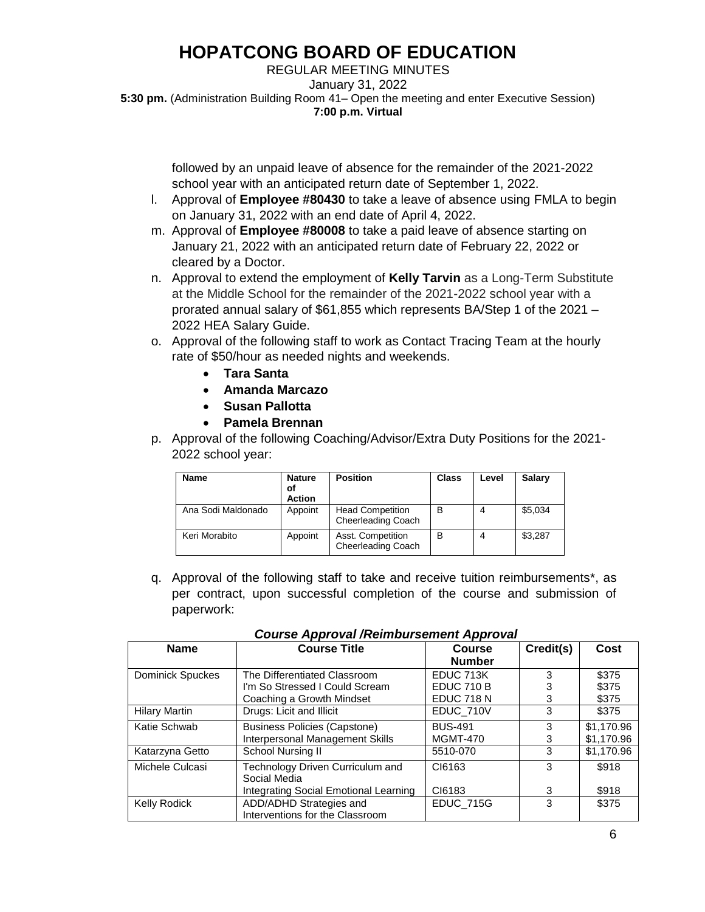REGULAR MEETING MINUTES January 31, 2022 **5:30 pm.** (Administration Building Room 41– Open the meeting and enter Executive Session) **7:00 p.m. Virtual** 

> followed by an unpaid leave of absence for the remainder of the 2021-2022 school year with an anticipated return date of September 1, 2022.

- l. Approval of **Employee #80430** to take a leave of absence using FMLA to begin on January 31, 2022 with an end date of April 4, 2022.
- m. Approval of **Employee #80008** to take a paid leave of absence starting on January 21, 2022 with an anticipated return date of February 22, 2022 or cleared by a Doctor.
- n. Approval to extend the employment of **Kelly Tarvin** as a Long-Term Substitute at the Middle School for the remainder of the 2021-2022 school year with a prorated annual salary of \$61,855 which represents BA/Step 1 of the 2021 – 2022 HEA Salary Guide.
- o. Approval of the following staff to work as Contact Tracing Team at the hourly rate of \$50/hour as needed nights and weekends.
	- **Tara Santa**
	- **Amanda Marcazo**
	- **Susan Pallotta**
	- **Pamela Brennan**
- p. Approval of the following Coaching/Advisor/Extra Duty Positions for the 2021- 2022 school year:

| <b>Name</b>        | <b>Nature</b><br>οf<br><b>Action</b> | <b>Position</b>                                | Class | Level | Salary  |
|--------------------|--------------------------------------|------------------------------------------------|-------|-------|---------|
| Ana Sodi Maldonado | Appoint                              | <b>Head Competition</b><br>Cheerleading Coach  | В     |       | \$5,034 |
| Keri Morabito      | Appoint                              | Asst. Competition<br><b>Cheerleading Coach</b> | В     |       | \$3,287 |

q. Approval of the following staff to take and receive tuition reimbursements\*, as per contract, upon successful completion of the course and submission of paperwork:

| <b>Name</b>          | <b>Course Title</b>                              | -1-1--<br>Course  | Credit(s) | Cost       |
|----------------------|--------------------------------------------------|-------------------|-----------|------------|
|                      |                                                  | <b>Number</b>     |           |            |
| Dominick Spuckes     | The Differentiated Classroom                     | EDUC 713K         | 3         | \$375      |
|                      | I'm So Stressed I Could Scream                   | <b>EDUC 710 B</b> |           | \$375      |
|                      | Coaching a Growth Mindset                        | <b>EDUC 718 N</b> | 3         | \$375      |
| <b>Hilary Martin</b> | Drugs: Licit and Illicit                         | EDUC_710V         | 3         | \$375      |
| Katie Schwab         | <b>Business Policies (Capstone)</b>              | <b>BUS-491</b>    | 3         | \$1,170.96 |
|                      | Interpersonal Management Skills                  | <b>MGMT-470</b>   | 3         | \$1,170.96 |
| Katarzyna Getto      | School Nursing II                                | 5510-070          | 3         | \$1,170.96 |
| Michele Culcasi      | Technology Driven Curriculum and<br>Social Media | CI6163            | 3         | \$918      |
|                      | Integrating Social Emotional Learning            | CI6183            | 3         | \$918      |
| Kelly Rodick         | ADD/ADHD Strategies and                          | <b>EDUC_715G</b>  | 3         | \$375      |
|                      | Interventions for the Classroom                  |                   |           |            |

 *Course Approval /Reimbursement Approval*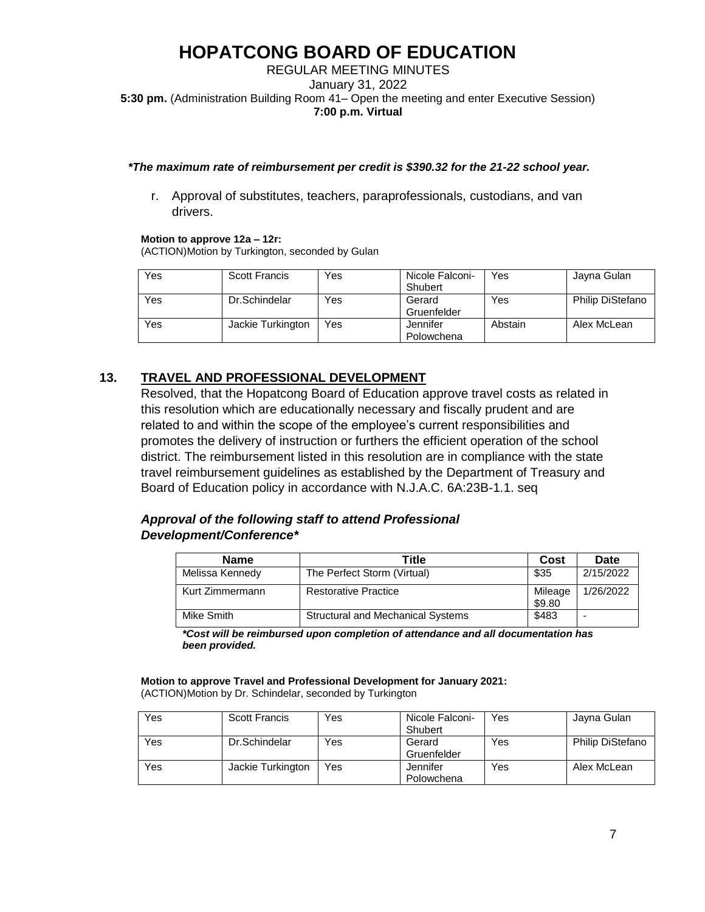### REGULAR MEETING MINUTES January 31, 2022 **5:30 pm.** (Administration Building Room 41– Open the meeting and enter Executive Session) **7:00 p.m. Virtual**

#### *\*The maximum rate of reimbursement per credit is \$390.32 for the 21-22 school year.*

r. Approval of substitutes, teachers, paraprofessionals, custodians, and van drivers.

#### **Motion to approve 12a – 12r:**

(ACTION)Motion by Turkington, seconded by Gulan

| Yes | Scott Francis     | Yes | Nicole Falconi-<br>Shubert | Yes     | Jayna Gulan             |
|-----|-------------------|-----|----------------------------|---------|-------------------------|
| Yes | Dr.Schindelar     | Yes | Gerard<br>Gruenfelder      | Yes     | <b>Philip DiStefano</b> |
| Yes | Jackie Turkington | Yes | Jennifer<br>Polowchena     | Abstain | Alex McLean             |

## **13. TRAVEL AND PROFESSIONAL DEVELOPMENT**

Resolved, that the Hopatcong Board of Education approve travel costs as related in this resolution which are educationally necessary and fiscally prudent and are related to and within the scope of the employee's current responsibilities and promotes the delivery of instruction or furthers the efficient operation of the school district. The reimbursement listed in this resolution are in compliance with the state travel reimbursement guidelines as established by the Department of Treasury and Board of Education policy in accordance with N.J.A.C. 6A:23B-1.1. seq

### *Approval of the following staff to attend Professional Development/Conference\**

| <b>Name</b>     | Title                                    | Cost              | Date                     |
|-----------------|------------------------------------------|-------------------|--------------------------|
| Melissa Kennedy | The Perfect Storm (Virtual)              | \$35              | 2/15/2022                |
| Kurt Zimmermann | <b>Restorative Practice</b>              | Mileage<br>\$9.80 | 1/26/2022                |
| Mike Smith      | <b>Structural and Mechanical Systems</b> | \$483             | $\overline{\phantom{a}}$ |

*\*Cost will be reimbursed upon completion of attendance and all documentation has been provided.* 

**Motion to approve Travel and Professional Development for January 2021:** (ACTION)Motion by Dr. Schindelar, seconded by Turkington

| Yes | <b>Scott Francis</b> | Yes | Nicole Falconi-<br>Shubert | Yes | Jayna Gulan             |
|-----|----------------------|-----|----------------------------|-----|-------------------------|
| Yes | Dr.Schindelar        | Yes | Gerard<br>Gruenfelder      | Yes | <b>Philip DiStefano</b> |
| Yes | Jackie Turkington    | Yes | Jennifer<br>Polowchena     | Yes | Alex McLean             |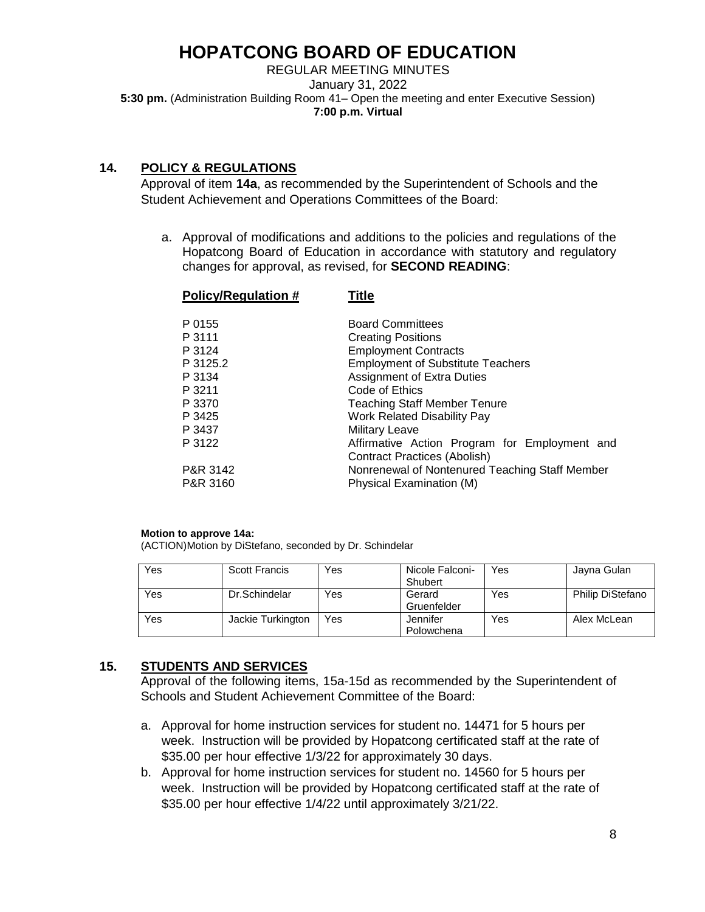REGULAR MEETING MINUTES January 31, 2022 **5:30 pm.** (Administration Building Room 41– Open the meeting and enter Executive Session) **7:00 p.m. Virtual** 

## **14. POLICY & REGULATIONS**

Approval of item **14a**, as recommended by the Superintendent of Schools and the Student Achievement and Operations Committees of the Board:

a. Approval of modifications and additions to the policies and regulations of the Hopatcong Board of Education in accordance with statutory and regulatory changes for approval, as revised, for **SECOND READING**:

| <b>Policy/Regulation #</b> | Title                                          |
|----------------------------|------------------------------------------------|
| P 0155                     | <b>Board Committees</b>                        |
| P 3111                     | <b>Creating Positions</b>                      |
| P 3124                     | <b>Employment Contracts</b>                    |
| P 3125.2                   | <b>Employment of Substitute Teachers</b>       |
| P 3134                     | <b>Assignment of Extra Duties</b>              |
| P 3211                     | Code of Ethics                                 |
| P 3370                     | <b>Teaching Staff Member Tenure</b>            |
| P 3425                     | <b>Work Related Disability Pay</b>             |
| P 3437                     | <b>Military Leave</b>                          |
| P 3122                     | Affirmative Action Program for Employment and  |
|                            | Contract Practices (Abolish)                   |
| P&R 3142                   | Nonrenewal of Nontenured Teaching Staff Member |
| P&R 3160                   | Physical Examination (M)                       |
|                            |                                                |

#### **Motion to approve 14a:**

(ACTION)Motion by DiStefano, seconded by Dr. Schindelar

| Yes | <b>Scott Francis</b> | Yes | Nicole Falconi- | Yes | Jayna Gulan             |
|-----|----------------------|-----|-----------------|-----|-------------------------|
|     |                      |     | Shubert         |     |                         |
| Yes | Dr.Schindelar        | Yes | Gerard          | Yes | <b>Philip DiStefano</b> |
|     |                      |     | Gruenfelder     |     |                         |
| Yes | Jackie Turkington    | Yes | Jennifer        | Yes | Alex McLean             |
|     |                      |     | Polowchena      |     |                         |

## **15. STUDENTS AND SERVICES**

Approval of the following items, 15a-15d as recommended by the Superintendent of Schools and Student Achievement Committee of the Board:

- a. Approval for home instruction services for student no. 14471 for 5 hours per week. Instruction will be provided by Hopatcong certificated staff at the rate of \$35.00 per hour effective 1/3/22 for approximately 30 days.
- b. Approval for home instruction services for student no. 14560 for 5 hours per week. Instruction will be provided by Hopatcong certificated staff at the rate of \$35.00 per hour effective 1/4/22 until approximately 3/21/22.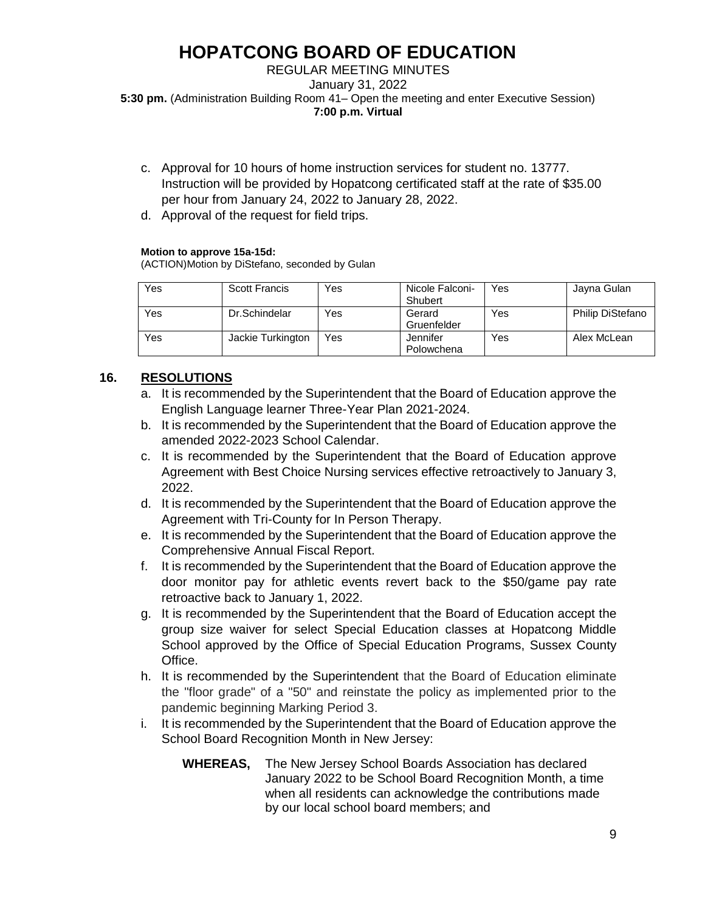### REGULAR MEETING MINUTES January 31, 2022 **5:30 pm.** (Administration Building Room 41– Open the meeting and enter Executive Session) **7:00 p.m. Virtual**

- c. Approval for 10 hours of home instruction services for student no. 13777. Instruction will be provided by Hopatcong certificated staff at the rate of \$35.00 per hour from January 24, 2022 to January 28, 2022.
- d. Approval of the request for field trips.

### **Motion to approve 15a-15d:**

(ACTION)Motion by DiStefano, seconded by Gulan

| Yes | <b>Scott Francis</b> | Yes | Nicole Falconi-<br>Shubert | Yes | Jayna Gulan             |
|-----|----------------------|-----|----------------------------|-----|-------------------------|
| Yes | Dr.Schindelar        | Yes | Gerard<br>Gruenfelder      | Yes | <b>Philip DiStefano</b> |
| Yes | Jackie Turkington    | Yes | Jennifer<br>Polowchena     | Yes | Alex McLean             |

## **16. RESOLUTIONS**

- a. It is recommended by the Superintendent that the Board of Education approve the English Language learner Three-Year Plan 2021-2024.
- b. It is recommended by the Superintendent that the Board of Education approve the amended 2022-2023 School Calendar.
- c. It is recommended by the Superintendent that the Board of Education approve Agreement with Best Choice Nursing services effective retroactively to January 3, 2022.
- d. It is recommended by the Superintendent that the Board of Education approve the Agreement with Tri-County for In Person Therapy.
- e. It is recommended by the Superintendent that the Board of Education approve the Comprehensive Annual Fiscal Report.
- f. It is recommended by the Superintendent that the Board of Education approve the door monitor pay for athletic events revert back to the \$50/game pay rate retroactive back to January 1, 2022.
- g. It is recommended by the Superintendent that the Board of Education accept the group size waiver for select Special Education classes at Hopatcong Middle School approved by the Office of Special Education Programs, Sussex County Office.
- h. It is recommended by the Superintendent that the Board of Education eliminate the "floor grade" of a "50" and reinstate the policy as implemented prior to the pandemic beginning Marking Period 3.
- i. It is recommended by the Superintendent that the Board of Education approve the School Board Recognition Month in New Jersey:
	- **WHEREAS,** The New Jersey School Boards Association has declared January 2022 to be School Board Recognition Month, a time when all residents can acknowledge the contributions made by our local school board members; and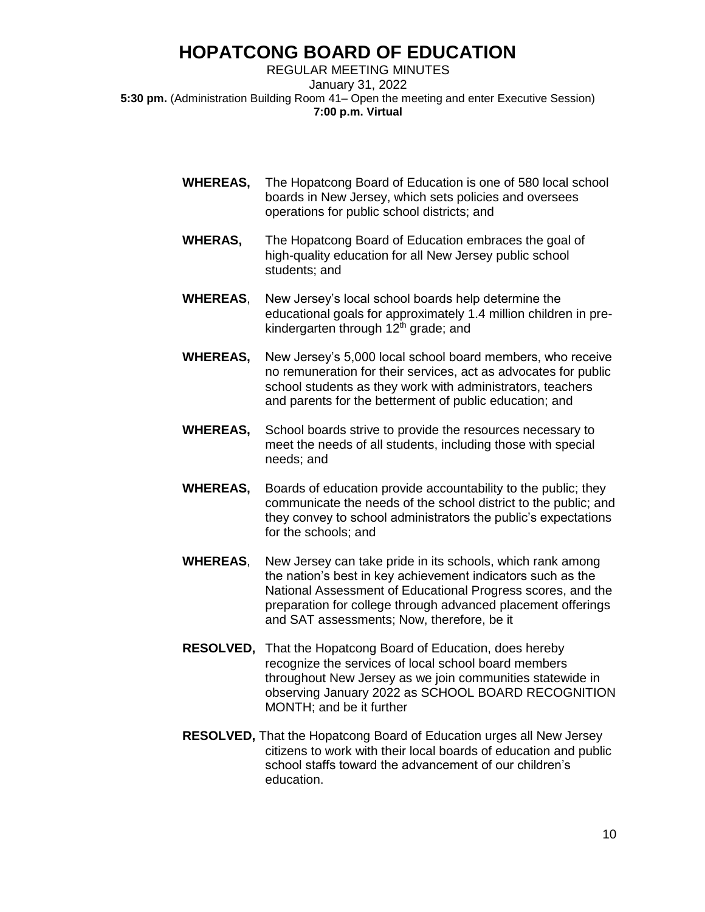REGULAR MEETING MINUTES January 31, 2022 **5:30 pm.** (Administration Building Room 41– Open the meeting and enter Executive Session) **7:00 p.m. Virtual** 

- **WHEREAS,** The Hopatcong Board of Education is one of 580 local school boards in New Jersey, which sets policies and oversees operations for public school districts; and
- **WHERAS,** The Hopatcong Board of Education embraces the goal of high-quality education for all New Jersey public school students; and
- **WHEREAS**, New Jersey's local school boards help determine the educational goals for approximately 1.4 million children in prekindergarten through 12<sup>th</sup> grade; and
- **WHEREAS,** New Jersey's 5,000 local school board members, who receive no remuneration for their services, act as advocates for public school students as they work with administrators, teachers and parents for the betterment of public education; and
- **WHEREAS,** School boards strive to provide the resources necessary to meet the needs of all students, including those with special needs; and
- **WHEREAS,** Boards of education provide accountability to the public; they communicate the needs of the school district to the public; and they convey to school administrators the public's expectations for the schools; and
- **WHEREAS**, New Jersey can take pride in its schools, which rank among the nation's best in key achievement indicators such as the National Assessment of Educational Progress scores, and the preparation for college through advanced placement offerings and SAT assessments; Now, therefore, be it
- **RESOLVED,** That the Hopatcong Board of Education, does hereby recognize the services of local school board members throughout New Jersey as we join communities statewide in observing January 2022 as SCHOOL BOARD RECOGNITION MONTH; and be it further
- **RESOLVED,** That the Hopatcong Board of Education urges all New Jersey citizens to work with their local boards of education and public school staffs toward the advancement of our children's education.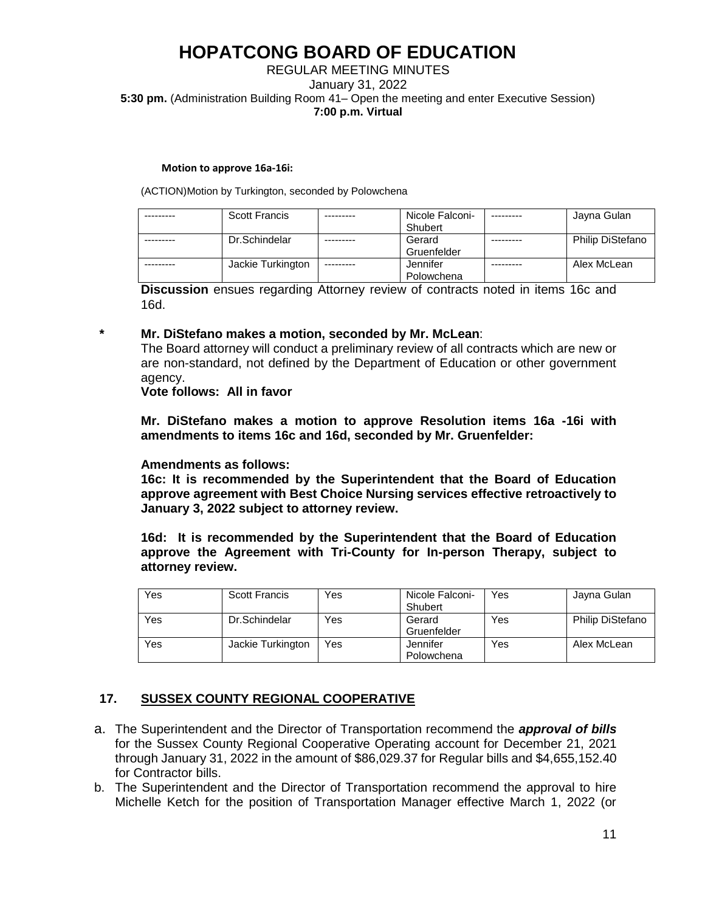### REGULAR MEETING MINUTES January 31, 2022 **5:30 pm.** (Administration Building Room 41– Open the meeting and enter Executive Session) **7:00 p.m. Virtual**

#### **Motion to approve 16a-16i:**

(ACTION)Motion by Turkington, seconded by Polowchena

| <b>Scott Francis</b> |           | Nicole Falconi- | Jayna Gulan             |
|----------------------|-----------|-----------------|-------------------------|
|                      |           | Shubert         |                         |
| Dr.Schindelar        |           | Gerard          | <b>Philip DiStefano</b> |
|                      |           | Gruenfelder     |                         |
| Jackie Turkington    | --------- | Jennifer        | Alex McLean             |
|                      |           | Polowchena      |                         |

**Discussion** ensues regarding Attorney review of contracts noted in items 16c and 16d.

#### **\* Mr. DiStefano makes a motion, seconded by Mr. McLean**:

The Board attorney will conduct a preliminary review of all contracts which are new or are non-standard, not defined by the Department of Education or other government agency.

### **Vote follows: All in favor**

**Mr. DiStefano makes a motion to approve Resolution items 16a -16i with amendments to items 16c and 16d, seconded by Mr. Gruenfelder:**

### **Amendments as follows:**

**16c: It is recommended by the Superintendent that the Board of Education approve agreement with Best Choice Nursing services effective retroactively to January 3, 2022 subject to attorney review.**

**16d: It is recommended by the Superintendent that the Board of Education approve the Agreement with Tri-County for In-person Therapy, subject to attorney review.**

| Yes | <b>Scott Francis</b> | Yes | Nicole Falconi-<br>Shubert | Yes | Jayna Gulan             |
|-----|----------------------|-----|----------------------------|-----|-------------------------|
| Yes | Dr.Schindelar        | Yes | Gerard<br>Gruenfelder      | Yes | <b>Philip DiStefano</b> |
| Yes | Jackie Turkington    | Yes | Jennifer<br>Polowchena     | Yes | Alex McLean             |

## **17. SUSSEX COUNTY REGIONAL COOPERATIVE**

- a. The Superintendent and the Director of Transportation recommend the *approval of bills* for the Sussex County Regional Cooperative Operating account for December 21, 2021 through January 31, 2022 in the amount of \$86,029.37 for Regular bills and \$4,655,152.40 for Contractor bills.
- b. The Superintendent and the Director of Transportation recommend the approval to hire Michelle Ketch for the position of Transportation Manager effective March 1, 2022 (or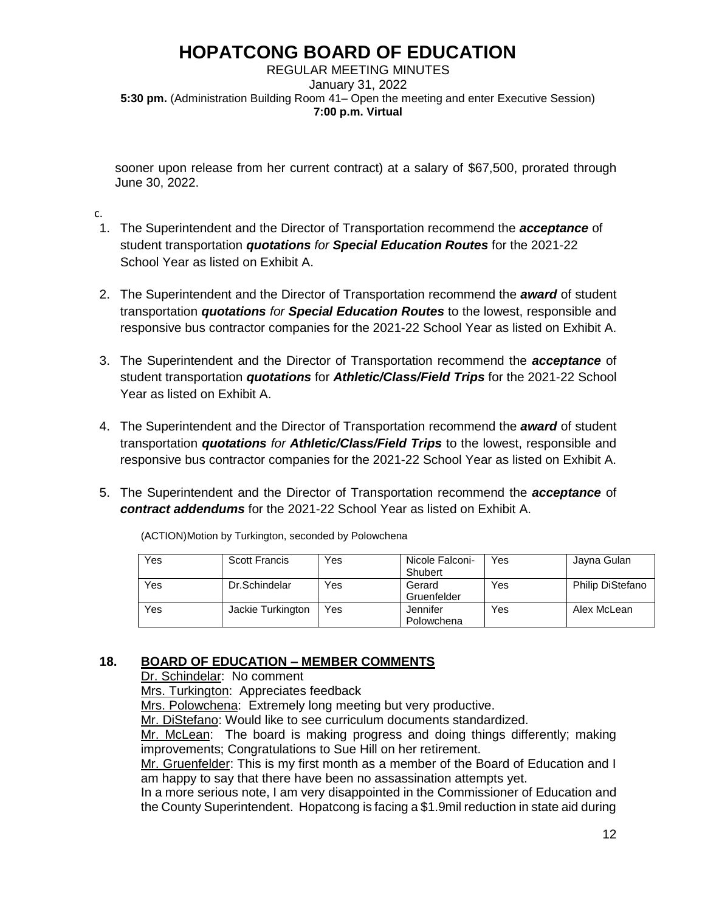REGULAR MEETING MINUTES January 31, 2022 **5:30 pm.** (Administration Building Room 41– Open the meeting and enter Executive Session) **7:00 p.m. Virtual** 

sooner upon release from her current contract) at a salary of \$67,500, prorated through June 30, 2022.

c.

- 1. The Superintendent and the Director of Transportation recommend the *acceptance* of student transportation *quotations for Special Education Routes* for the 2021-22 School Year as listed on Exhibit A.
- 2. The Superintendent and the Director of Transportation recommend the *award* of student transportation *quotations for Special Education Routes* to the lowest, responsible and responsive bus contractor companies for the 2021-22 School Year as listed on Exhibit A.
- 3. The Superintendent and the Director of Transportation recommend the *acceptance* of student transportation *quotations* for *Athletic/Class/Field Trips* for the 2021-22 School Year as listed on Exhibit A.
- 4. The Superintendent and the Director of Transportation recommend the *award* of student transportation *quotations for Athletic/Class/Field Trips* to the lowest, responsible and responsive bus contractor companies for the 2021-22 School Year as listed on Exhibit A.
- 5. The Superintendent and the Director of Transportation recommend the *acceptance* of *contract addendums* for the 2021-22 School Year as listed on Exhibit A.

| Yes | <b>Scott Francis</b> | Yes | Nicole Falconi-<br>Shubert | Yes | Jayna Gulan             |
|-----|----------------------|-----|----------------------------|-----|-------------------------|
| Yes | Dr.Schindelar        | Yes | Gerard<br>Gruenfelder      | Yes | <b>Philip DiStefano</b> |
| Yes | Jackie Turkington    | Yes | Jennifer<br>Polowchena     | Yes | Alex McLean             |

(ACTION)Motion by Turkington, seconded by Polowchena

## **18. BOARD OF EDUCATION – MEMBER COMMENTS**

Dr. Schindelar: No comment

Mrs. Turkington: Appreciates feedback

Mrs. Polowchena: Extremely long meeting but very productive.

Mr. DiStefano: Would like to see curriculum documents standardized.

Mr. McLean: The board is making progress and doing things differently; making improvements; Congratulations to Sue Hill on her retirement.

Mr. Gruenfelder: This is my first month as a member of the Board of Education and I am happy to say that there have been no assassination attempts yet.

In a more serious note, I am very disappointed in the Commissioner of Education and the County Superintendent. Hopatcong is facing a \$1.9mil reduction in state aid during